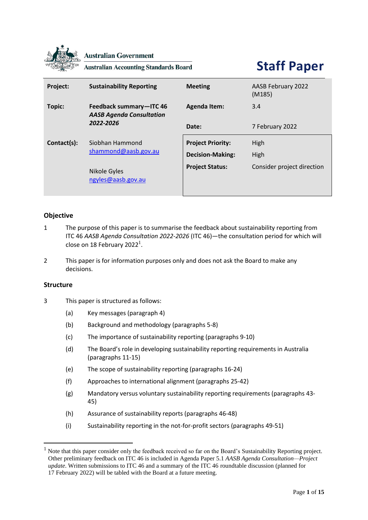

**Australian Government** 

**Australian Accounting Standards Board** 

# **Staff Paper**

| Project:    | <b>Sustainability Reporting</b>                                         | <b>Meeting</b>                                      | AASB February 2022<br>(M185) |
|-------------|-------------------------------------------------------------------------|-----------------------------------------------------|------------------------------|
| Topic:      | Feedback summary-ITC 46<br><b>AASB Agenda Consultation</b><br>2022-2026 | <b>Agenda Item:</b>                                 | 3.4                          |
|             |                                                                         | Date:                                               | 7 February 2022              |
| Contact(s): | Siobhan Hammond<br>shammond@aasb.gov.au                                 | <b>Project Priority:</b><br><b>Decision-Making:</b> | High<br>High                 |
|             | Nikole Gyles<br>ngyles@aasb.gov.au                                      | <b>Project Status:</b>                              | Consider project direction   |

# **Objective**

- 1 The purpose of this paper is to summarise the feedback about sustainability reporting from ITC 46 *AASB Agenda Consultation 2022-2026* (ITC 46)—the consultation period for which will close on 18 February 2022<sup>1</sup>.
- 2 This paper is for information purposes only and does not ask the Board to make any decisions.

# **Structure**

- 3 This paper is structured as follows:
	- (a) Key messages (paragraph 4)
	- (b) Background and methodology (paragraphs 5-8)
	- (c) The importance of sustainability reporting (paragraphs 9-10)
	- (d) The Board's role in developing sustainability reporting requirements in Australia (paragraphs 11-15)
	- (e) The scope of sustainability reporting (paragraphs 16-24)
	- (f) Approaches to international alignment (paragraphs 25-42)
	- (g) Mandatory versus voluntary sustainability reporting requirements (paragraphs 43- 45)
	- (h) Assurance of sustainability reports (paragraphs 46-48)
	- (i) Sustainability reporting in the not-for-profit sectors (paragraphs 49-51)

<sup>&</sup>lt;sup>1</sup> Note that this paper consider only the feedback received so far on the Board's Sustainability Reporting project. Other preliminary feedback on ITC 46 is included in Agenda Paper 5.1 *AASB Agenda Consultation—Project update*. Written submissions to ITC 46 and a summary of the ITC 46 roundtable discussion (planned for 17 February 2022) will be tabled with the Board at a future meeting.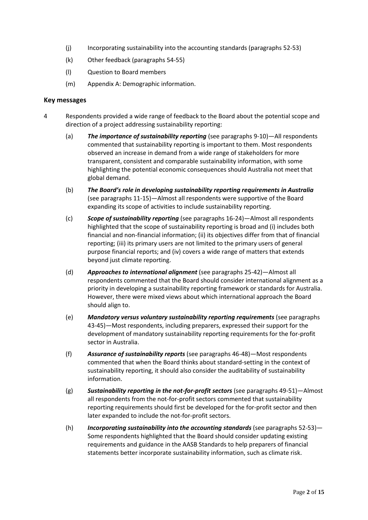- (j) Incorporating sustainability into the accounting standards (paragraphs 52-53)
- (k) Other feedback (paragraphs 54-55)
- (l) Question to Board members
- (m) Appendix A: Demographic information.

#### **Key messages**

- 4 Respondents provided a wide range of feedback to the Board about the potential scope and direction of a project addressing sustainability reporting:
	- (a) *The importance of sustainability reporting* (see paragraphs 9-10)—All respondents commented that sustainability reporting is important to them. Most respondents observed an increase in demand from a wide range of stakeholders for more transparent, consistent and comparable sustainability information, with some highlighting the potential economic consequences should Australia not meet that global demand.
	- (b) *The Board's role in developing sustainability reporting requirements in Australia* (see paragraphs 11-15)—Almost all respondents were supportive of the Board expanding its scope of activities to include sustainability reporting.
	- (c) *Scope of sustainability reporting* (see paragraphs 16-24)—Almost all respondents highlighted that the scope of sustainability reporting is broad and (i) includes both financial and non-financial information; (ii) its objectives differ from that of financial reporting; (iii) its primary users are not limited to the primary users of general purpose financial reports; and (iv) covers a wide range of matters that extends beyond just climate reporting.
	- (d) *Approaches to international alignment* (see paragraphs 25-42)—Almost all respondents commented that the Board should consider international alignment as a priority in developing a sustainability reporting framework or standards for Australia. However, there were mixed views about which international approach the Board should align to.
	- (e) *Mandatory versus voluntary sustainability reporting requirements* (see paragraphs 43-45)—Most respondents, including preparers, expressed their support for the development of mandatory sustainability reporting requirements for the for-profit sector in Australia.
	- (f) *Assurance of sustainability reports* (see paragraphs 46-48)—Most respondents commented that when the Board thinks about standard-setting in the context of sustainability reporting, it should also consider the auditability of sustainability information.
	- (g) *Sustainability reporting in the not-for-profit sectors* (see paragraphs 49-51)—Almost all respondents from the not-for-profit sectors commented that sustainability reporting requirements should first be developed for the for-profit sector and then later expanded to include the not-for-profit sectors.
	- (h) *Incorporating sustainability into the accounting standards* (see paragraphs 52-53)— Some respondents highlighted that the Board should consider updating existing requirements and guidance in the AASB Standards to help preparers of financial statements better incorporate sustainability information, such as climate risk.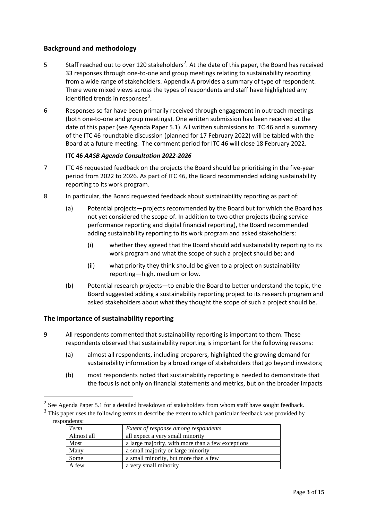# **Background and methodology**

- 5 Staff reached out to over 120 stakeholders<sup>2</sup>. At the date of this paper, the Board has received 33 responses through one-to-one and group meetings relating to sustainability reporting from a wide range of stakeholders. Appendix A provides a summary of type of respondent. There were mixed views across the types of respondents and staff have highlighted any identified trends in responses<sup>3</sup>.
- 6 Responses so far have been primarily received through engagement in outreach meetings (both one-to-one and group meetings). One written submission has been received at the date of this paper (see Agenda Paper 5.1). All written submissions to ITC 46 and a summary of the ITC 46 roundtable discussion (planned for 17 February 2022) will be tabled with the Board at a future meeting. The comment period for ITC 46 will close 18 February 2022.

#### **ITC 46** *AASB Agenda Consultation 2022-2026*

- 7 ITC 46 requested feedback on the projects the Board should be prioritising in the five-year period from 2022 to 2026. As part of ITC 46, the Board recommended adding sustainability reporting to its work program.
- 8 In particular, the Board requested feedback about sustainability reporting as part of:
	- (a) Potential projects—projects recommended by the Board but for which the Board has not yet considered the scope of. In addition to two other projects (being service performance reporting and digital financial reporting), the Board recommended adding sustainability reporting to its work program and asked stakeholders:
		- (i) whether they agreed that the Board should add sustainability reporting to its work program and what the scope of such a project should be; and
		- (ii) what priority they think should be given to a project on sustainability reporting—high, medium or low.
	- (b) Potential research projects—to enable the Board to better understand the topic, the Board suggested adding a sustainability reporting project to its research program and asked stakeholders about what they thought the scope of such a project should be.

# **The importance of sustainability reporting**

- 9 All respondents commented that sustainability reporting is important to them. These respondents observed that sustainability reporting is important for the following reasons:
	- (a) almost all respondents, including preparers, highlighted the growing demand for sustainability information by a broad range of stakeholders that go beyond investors;
	- (b) most respondents noted that sustainability reporting is needed to demonstrate that the focus is not only on financial statements and metrics, but on the broader impacts

<sup>3</sup> This paper uses the following terms to describe the extent to which particular feedback was provided by respondents:

| Term       | Extent of response among respondents              |
|------------|---------------------------------------------------|
| Almost all | all expect a very small minority                  |
| Most       | a large majority, with more than a few exceptions |
| Many       | a small majority or large minority                |
| Some       | a small minority, but more than a few             |
| A few      | a very small minority                             |

<sup>&</sup>lt;sup>2</sup> See Agenda Paper 5.1 for a detailed breakdown of stakeholders from whom staff have sought feedback.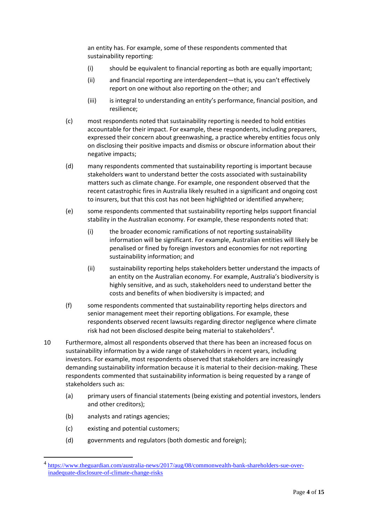an entity has. For example, some of these respondents commented that sustainability reporting:

- (i) should be equivalent to financial reporting as both are equally important;
- (ii) and financial reporting are interdependent—that is, you can't effectively report on one without also reporting on the other; and
- (iii) is integral to understanding an entity's performance, financial position, and resilience;
- (c) most respondents noted that sustainability reporting is needed to hold entities accountable for their impact. For example, these respondents, including preparers, expressed their concern about greenwashing, a practice whereby entities focus only on disclosing their positive impacts and dismiss or obscure information about their negative impacts;
- (d) many respondents commented that sustainability reporting is important because stakeholders want to understand better the costs associated with sustainability matters such as climate change. For example, one respondent observed that the recent catastrophic fires in Australia likely resulted in a significant and ongoing cost to insurers, but that this cost has not been highlighted or identified anywhere;
- (e) some respondents commented that sustainability reporting helps support financial stability in the Australian economy. For example, these respondents noted that:
	- (i) the broader economic ramifications of not reporting sustainability information will be significant. For example, Australian entities will likely be penalised or fined by foreign investors and economies for not reporting sustainability information; and
	- (ii) sustainability reporting helps stakeholders better understand the impacts of an entity on the Australian economy. For example, Australia's biodiversity is highly sensitive, and as such, stakeholders need to understand better the costs and benefits of when biodiversity is impacted; and
- (f) some respondents commented that sustainability reporting helps directors and senior management meet their reporting obligations. For example, these respondents observed recent lawsuits regarding director negligence where climate risk had not been disclosed despite being material to stakeholders<sup>4</sup>.
- 10 Furthermore, almost all respondents observed that there has been an increased focus on sustainability information by a wide range of stakeholders in recent years, including investors. For example, most respondents observed that stakeholders are increasingly demanding sustainability information because it is material to their decision-making. These respondents commented that sustainability information is being requested by a range of stakeholders such as:
	- (a) primary users of financial statements (being existing and potential investors, lenders and other creditors);
	- (b) analysts and ratings agencies;
	- (c) existing and potential customers;
	- (d) governments and regulators (both domestic and foreign);

<sup>&</sup>lt;sup>4</sup> [https://www.theguardian.com/australia-news/2017/aug/08/commonwealth-bank-shareholders-sue-over](https://www.theguardian.com/australia-news/2017/aug/08/commonwealth-bank-shareholders-sue-over-inadequate-disclosure-of-climate-change-risks)[inadequate-disclosure-of-climate-change-risks](https://www.theguardian.com/australia-news/2017/aug/08/commonwealth-bank-shareholders-sue-over-inadequate-disclosure-of-climate-change-risks)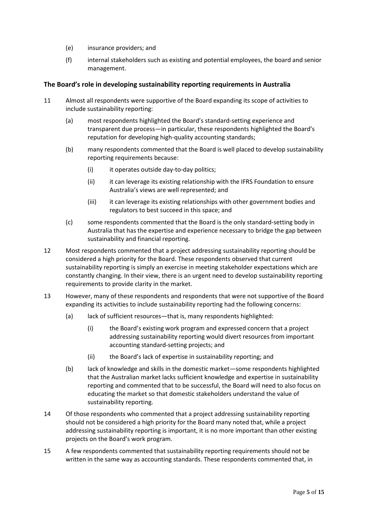- (e) insurance providers; and
- (f) internal stakeholders such as existing and potential employees, the board and senior management.

#### **The Board's role in developing sustainability reporting requirements in Australia**

- 11 Almost all respondents were supportive of the Board expanding its scope of activities to include sustainability reporting:
	- (a) most respondents highlighted the Board's standard-setting experience and transparent due process—in particular, these respondents highlighted the Board's reputation for developing high-quality accounting standards;
	- (b) many respondents commented that the Board is well placed to develop sustainability reporting requirements because:
		- (i) it operates outside day-to-day politics;
		- (ii) it can leverage its existing relationship with the IFRS Foundation to ensure Australia's views are well represented; and
		- (iii) it can leverage its existing relationships with other government bodies and regulators to best succeed in this space; and
	- (c) some respondents commented that the Board is the only standard-setting body in Australia that has the expertise and experience necessary to bridge the gap between sustainability and financial reporting.
- 12 Most respondents commented that a project addressing sustainability reporting should be considered a high priority for the Board. These respondents observed that current sustainability reporting is simply an exercise in meeting stakeholder expectations which are constantly changing. In their view, there is an urgent need to develop sustainability reporting requirements to provide clarity in the market.
- 13 However, many of these respondents and respondents that were not supportive of the Board expanding its activities to include sustainability reporting had the following concerns:
	- (a) lack of sufficient resources—that is, many respondents highlighted:
		- (i) the Board's existing work program and expressed concern that a project addressing sustainability reporting would divert resources from important accounting standard-setting projects; and
		- (ii) the Board's lack of expertise in sustainability reporting; and
	- (b) lack of knowledge and skills in the domestic market—some respondents highlighted that the Australian market lacks sufficient knowledge and expertise in sustainability reporting and commented that to be successful, the Board will need to also focus on educating the market so that domestic stakeholders understand the value of sustainability reporting.
- 14 Of those respondents who commented that a project addressing sustainability reporting should not be considered a high priority for the Board many noted that, while a project addressing sustainability reporting is important, it is no more important than other existing projects on the Board's work program.
- 15 A few respondents commented that sustainability reporting requirements should not be written in the same way as accounting standards. These respondents commented that, in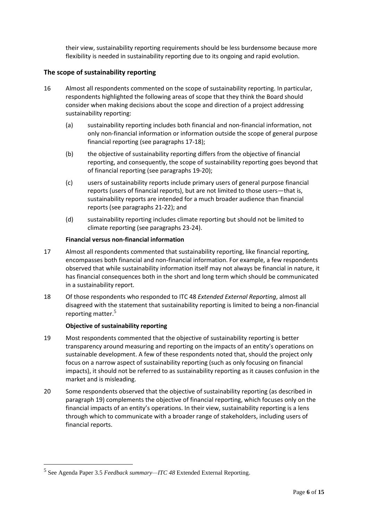their view, sustainability reporting requirements should be less burdensome because more flexibility is needed in sustainability reporting due to its ongoing and rapid evolution.

# **The scope of sustainability reporting**

- 16 Almost all respondents commented on the scope of sustainability reporting. In particular, respondents highlighted the following areas of scope that they think the Board should consider when making decisions about the scope and direction of a project addressing sustainability reporting:
	- (a) sustainability reporting includes both financial and non-financial information, not only non-financial information or information outside the scope of general purpose financial reporting (see paragraphs 17-18);
	- (b) the objective of sustainability reporting differs from the objective of financial reporting, and consequently, the scope of sustainability reporting goes beyond that of financial reporting (see paragraphs 19-20);
	- (c) users of sustainability reports include primary users of general purpose financial reports (users of financial reports), but are not limited to those users—that is, sustainability reports are intended for a much broader audience than financial reports (see paragraphs 21-22); and
	- (d) sustainability reporting includes climate reporting but should not be limited to climate reporting (see paragraphs 23-24).

#### **Financial versus non-financial information**

- 17 Almost all respondents commented that sustainability reporting, like financial reporting, encompasses both financial and non-financial information. For example, a few respondents observed that while sustainability information itself may not always be financial in nature, it has financial consequences both in the short and long term which should be communicated in a sustainability report.
- 18 Of those respondents who responded to ITC 48 *Extended External Reporting*, almost all disagreed with the statement that sustainability reporting is limited to being a non-financial reporting matter. 5

#### **Objective of sustainability reporting**

- 19 Most respondents commented that the objective of sustainability reporting is better transparency around measuring and reporting on the impacts of an entity's operations on sustainable development. A few of these respondents noted that, should the project only focus on a narrow aspect of sustainability reporting (such as only focusing on financial impacts), it should not be referred to as sustainability reporting as it causes confusion in the market and is misleading.
- 20 Some respondents observed that the objective of sustainability reporting (as described in paragraph 19) complements the objective of financial reporting, which focuses only on the financial impacts of an entity's operations. In their view, sustainability reporting is a lens through which to communicate with a broader range of stakeholders, including users of financial reports.

<sup>5</sup> See Agenda Paper 3.5 *Feedback summary—ITC 48* Extended External Reporting.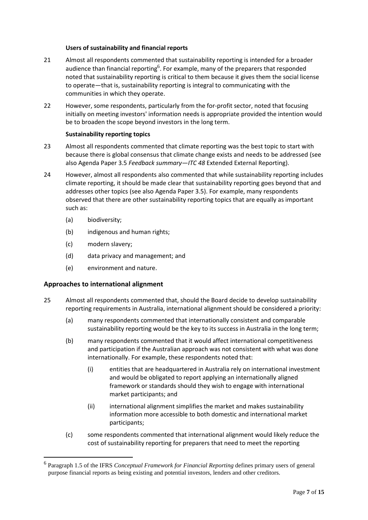#### **Users of sustainability and financial reports**

- 21 Almost all respondents commented that sustainability reporting is intended for a broader audience than financial reporting<sup>6</sup>. For example, many of the preparers that responded noted that sustainability reporting is critical to them because it gives them the social license to operate—that is, sustainability reporting is integral to communicating with the communities in which they operate.
- 22 However, some respondents, particularly from the for-profit sector, noted that focusing initially on meeting investors' information needs is appropriate provided the intention would be to broaden the scope beyond investors in the long term.

#### **Sustainability reporting topics**

- 23 Almost all respondents commented that climate reporting was the best topic to start with because there is global consensus that climate change exists and needs to be addressed (see also Agenda Paper 3.5 *Feedback summary—ITC 48* Extended External Reporting).
- 24 However, almost all respondents also commented that while sustainability reporting includes climate reporting, it should be made clear that sustainability reporting goes beyond that and addresses other topics (see also Agenda Paper 3.5). For example, many respondents observed that there are other sustainability reporting topics that are equally as important such as:
	- (a) biodiversity;
	- (b) indigenous and human rights;
	- (c) modern slavery;
	- (d) data privacy and management; and
	- (e) environment and nature.

# **Approaches to international alignment**

- 25 Almost all respondents commented that, should the Board decide to develop sustainability reporting requirements in Australia, international alignment should be considered a priority:
	- (a) many respondents commented that internationally consistent and comparable sustainability reporting would be the key to its success in Australia in the long term;
	- (b) many respondents commented that it would affect international competitiveness and participation if the Australian approach was not consistent with what was done internationally. For example, these respondents noted that:
		- (i) entities that are headquartered in Australia rely on international investment and would be obligated to report applying an internationally aligned framework or standards should they wish to engage with international market participants; and
		- (ii) international alignment simplifies the market and makes sustainability information more accessible to both domestic and international market participants;
	- (c) some respondents commented that international alignment would likely reduce the cost of sustainability reporting for preparers that need to meet the reporting

<sup>6</sup> Paragraph 1.5 of the IFRS *Conceptual Framework for Financial Reporting* defines primary users of general purpose financial reports as being existing and potential investors, lenders and other creditors.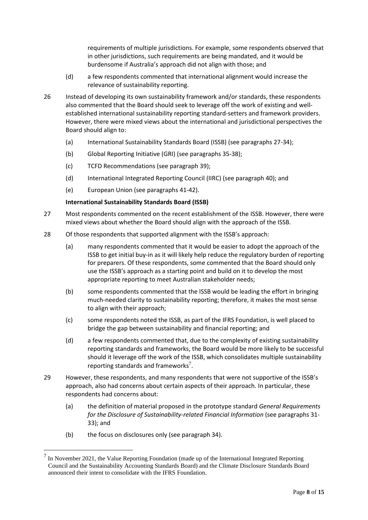requirements of multiple jurisdictions. For example, some respondents observed that in other jurisdictions, such requirements are being mandated, and it would be burdensome if Australia's approach did not align with those; and

- (d) a few respondents commented that international alignment would increase the relevance of sustainability reporting.
- 26 Instead of developing its own sustainability framework and/or standards, these respondents also commented that the Board should seek to leverage off the work of existing and wellestablished international sustainability reporting standard-setters and framework providers. However, there were mixed views about the international and jurisdictional perspectives the Board should align to:
	- (a) International Sustainability Standards Board (ISSB) (see paragraphs 27-34);
	- (b) Global Reporting Initiative (GRI) (see paragraphs 35-38);
	- (c) TCFD Recommendations (see paragraph 39);
	- (d) International Integrated Reporting Council (IIRC) (see paragraph 40); and
	- (e) European Union (see paragraphs 41-42).

#### **International Sustainability Standards Board (ISSB)**

- 27 Most respondents commented on the recent establishment of the ISSB. However, there were mixed views about whether the Board should align with the approach of the ISSB.
- 28 Of those respondents that supported alignment with the ISSB's approach:
	- (a) many respondents commented that it would be easier to adopt the approach of the ISSB to get initial buy-in as it will likely help reduce the regulatory burden of reporting for preparers. Of these respondents, some commented that the Board should only use the ISSB's approach as a starting point and build on it to develop the most appropriate reporting to meet Australian stakeholder needs;
	- (b) some respondents commented that the ISSB would be leading the effort in bringing much-needed clarity to sustainability reporting; therefore, it makes the most sense to align with their approach;
	- (c) some respondents noted the ISSB, as part of the IFRS Foundation, is well placed to bridge the gap between sustainability and financial reporting; and
	- (d) a few respondents commented that, due to the complexity of existing sustainability reporting standards and frameworks, the Board would be more likely to be successful should it leverage off the work of the ISSB, which consolidates multiple sustainability reporting standards and frameworks<sup>7</sup>.
- 29 However, these respondents, and many respondents that were not supportive of the ISSB's approach, also had concerns about certain aspects of their approach. In particular, these respondents had concerns about:
	- (a) the definition of material proposed in the prototype standard *General Requirements for the Disclosure of Sustainability-related Financial Information* (see paragraphs 31- 33); and
	- (b) the focus on disclosures only (see paragraph 34).

<sup>7</sup> In November 2021, the Value Reporting Foundation (made up of the International Integrated Reporting Council and the Sustainability Accounting Standards Board) and the Climate Disclosure Standards Board announced their intent to consolidate with the IFRS Foundation.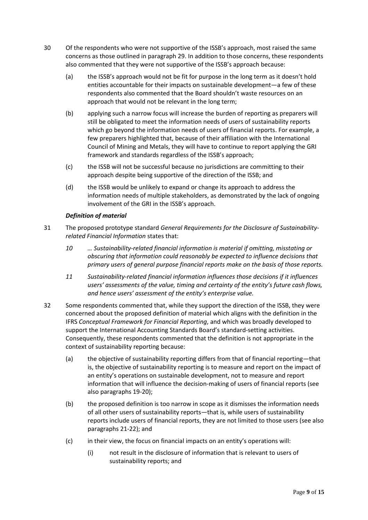- 30 Of the respondents who were not supportive of the ISSB's approach, most raised the same concerns as those outlined in paragraph 29. In addition to those concerns, these respondents also commented that they were not supportive of the ISSB's approach because:
	- (a) the ISSB's approach would not be fit for purpose in the long term as it doesn't hold entities accountable for their impacts on sustainable development—a few of these respondents also commented that the Board shouldn't waste resources on an approach that would not be relevant in the long term;
	- (b) applying such a narrow focus will increase the burden of reporting as preparers will still be obligated to meet the information needs of users of sustainability reports which go beyond the information needs of users of financial reports. For example, a few preparers highlighted that, because of their affiliation with the International Council of Mining and Metals, they will have to continue to report applying the GRI framework and standards regardless of the ISSB's approach;
	- (c) the ISSB will not be successful because no jurisdictions are committing to their approach despite being supportive of the direction of the ISSB; and
	- (d) the ISSB would be unlikely to expand or change its approach to address the information needs of multiple stakeholders, as demonstrated by the lack of ongoing involvement of the GRI in the ISSB's approach.

#### *Definition of material*

- 31 The proposed prototype standard *General Requirements for the Disclosure of Sustainabilityrelated Financial Information* states that:
	- *10 … Sustainability-related financial information is material if omitting, misstating or obscuring that information could reasonably be expected to influence decisions that primary users of general purpose financial reports make on the basis of those reports.*
	- *11 Sustainability-related financial information influences those decisions if it influences users' assessments of the value, timing and certainty of the entity's future cash flows, and hence users' assessment of the entity's enterprise value.*
- 32 Some respondents commented that, while they support the direction of the ISSB, they were concerned about the proposed definition of material which aligns with the definition in the IFRS *Conceptual Framework for Financial Reporting*, and which was broadly developed to support the International Accounting Standards Board's standard-setting activities. Consequently, these respondents commented that the definition is not appropriate in the context of sustainability reporting because:
	- (a) the objective of sustainability reporting differs from that of financial reporting—that is, the objective of sustainability reporting is to measure and report on the impact of an entity's operations on sustainable development, not to measure and report information that will influence the decision-making of users of financial reports (see also paragraphs 19-20);
	- (b) the proposed definition is too narrow in scope as it dismisses the information needs of all other users of sustainability reports—that is, while users of sustainability reports include users of financial reports, they are not limited to those users (see also paragraphs 21-22); and
	- (c) in their view, the focus on financial impacts on an entity's operations will:
		- (i) not result in the disclosure of information that is relevant to users of sustainability reports; and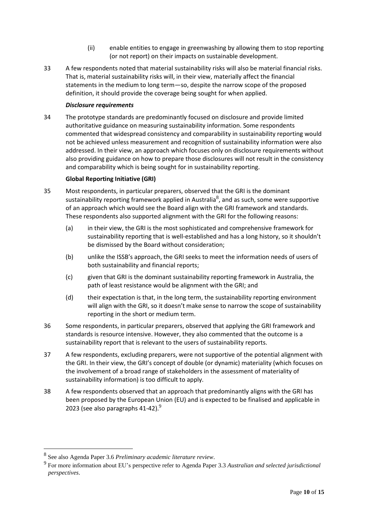- (ii) enable entities to engage in greenwashing by allowing them to stop reporting (or not report) on their impacts on sustainable development.
- 33 A few respondents noted that material sustainability risks will also be material financial risks. That is, material sustainability risks will, in their view, materially affect the financial statements in the medium to long term—so, despite the narrow scope of the proposed definition, it should provide the coverage being sought for when applied.

#### *Disclosure requirements*

34 The prototype standards are predominantly focused on disclosure and provide limited authoritative guidance on measuring sustainability information. Some respondents commented that widespread consistency and comparability in sustainability reporting would not be achieved unless measurement and recognition of sustainability information were also addressed. In their view, an approach which focuses only on disclosure requirements without also providing guidance on how to prepare those disclosures will not result in the consistency and comparability which is being sought for in sustainability reporting.

#### **Global Reporting Initiative (GRI)**

- 35 Most respondents, in particular preparers, observed that the GRI is the dominant sustainability reporting framework applied in Australia<sup>8</sup>, and as such, some were supportive of an approach which would see the Board align with the GRI framework and standards. These respondents also supported alignment with the GRI for the following reasons:
	- (a) in their view, the GRI is the most sophisticated and comprehensive framework for sustainability reporting that is well-established and has a long history, so it shouldn't be dismissed by the Board without consideration;
	- (b) unlike the ISSB's approach, the GRI seeks to meet the information needs of users of both sustainability and financial reports;
	- (c) given that GRI is the dominant sustainability reporting framework in Australia, the path of least resistance would be alignment with the GRI; and
	- (d) their expectation is that, in the long term, the sustainability reporting environment will align with the GRI, so it doesn't make sense to narrow the scope of sustainability reporting in the short or medium term.
- 36 Some respondents, in particular preparers, observed that applying the GRI framework and standards is resource intensive. However, they also commented that the outcome is a sustainability report that is relevant to the users of sustainability reports.
- 37 A few respondents, excluding preparers, were not supportive of the potential alignment with the GRI. In their view, the GRI's concept of double (or dynamic) materiality (which focuses on the involvement of a broad range of stakeholders in the assessment of materiality of sustainability information) is too difficult to apply.
- 38 A few respondents observed that an approach that predominantly aligns with the GRI has been proposed by the European Union (EU) and is expected to be finalised and applicable in 2023 (see also paragraphs 41-42). $^{9}$

<sup>8</sup> See also Agenda Paper 3.6 *Preliminary academic literature review*.

<sup>9</sup> For more information about EU's perspective refer to Agenda Paper 3.3 *Australian and selected jurisdictional perspectives*.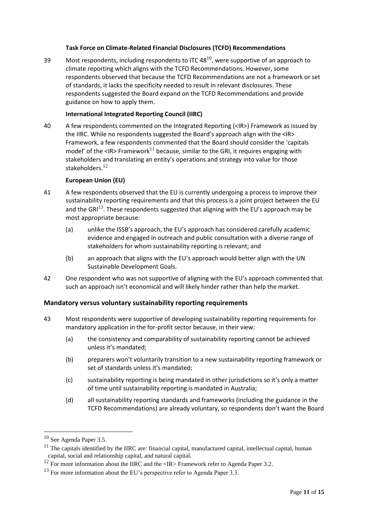#### **Task Force on Climate-Related Financial Disclosures (TCFD) Recommendations**

39 Most respondents, including respondents to ITC 48 $^{10}$ , were supportive of an approach to climate reporting which aligns with the TCFD Recommendations. However, some respondents observed that because the TCFD Recommendations are not a framework or set of standards, it lacks the specificity needed to result in relevant disclosures. These respondents suggested the Board expand on the TCFD Recommendations and provide guidance on how to apply them.

#### **International Integrated Reporting Council (IIRC)**

40 A few respondents commented on the Integrated Reporting (<IR>) Framework as issued by the IIRC. While no respondents suggested the Board's approach align with the <IR> Framework, a few respondents commented that the Board should consider the 'capitals model' of the <IR> Framework<sup>11</sup> because, similar to the GRI, it requires engaging with stakeholders and translating an entity's operations and strategy into value for those stakeholders.<sup>12</sup>

#### **European Union (EU)**

- 41 A few respondents observed that the EU is currently undergoing a process to improve their sustainability reporting requirements and that this process is a joint project between the EU and the GR $1^{13}$ . These respondents suggested that aligning with the EU's approach may be most appropriate because:
	- (a) unlike the ISSB's approach, the EU's approach has considered carefully academic evidence and engaged in outreach and public consultation with a diverse range of stakeholders for whom sustainability reporting is relevant; and
	- (b) an approach that aligns with the EU's approach would better align with the UN Sustainable Development Goals.
- 42 One respondent who was not supportive of aligning with the EU's approach commented that such an approach isn't economical and will likely hinder rather than help the market.

# **Mandatory versus voluntary sustainability reporting requirements**

- 43 Most respondents were supportive of developing sustainability reporting requirements for mandatory application in the for-profit sector because, in their view:
	- (a) the consistency and comparability of sustainability reporting cannot be achieved unless it's mandated;
	- (b) preparers won't voluntarily transition to a new sustainability reporting framework or set of standards unless it's mandated;
	- (c) sustainability reporting is being mandated in other jurisdictions so it's only a matter of time until sustainability reporting is mandated in Australia;
	- (d) all sustainability reporting standards and frameworks (including the guidance in the TCFD Recommendations) are already voluntary, so respondents don't want the Board

<sup>&</sup>lt;sup>10</sup> See Agenda Paper 3.5.

<sup>&</sup>lt;sup>11</sup> The capitals identified by the IIRC are: financial capital, manufactured capital, intellectual capital, human capital, social and relationship capital, and natural capital.

<sup>&</sup>lt;sup>12</sup> For more information about the IIRC and the  $\langle$ IR> Framework refer to Agenda Paper 3.2.

 $13$  For more information about the EU's perspective refer to Agenda Paper 3.3.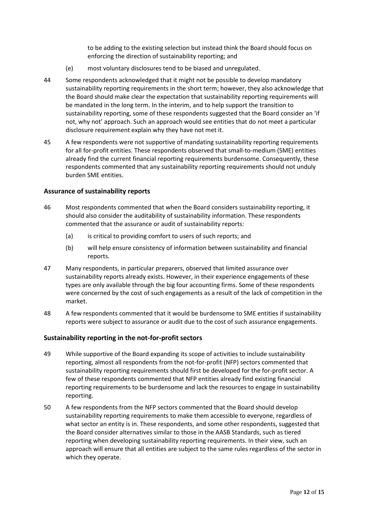to be adding to the existing selection but instead think the Board should focus on enforcing the direction of sustainability reporting; and

- (e) most voluntary disclosures tend to be biased and unregulated.
- 44 Some respondents acknowledged that it might not be possible to develop mandatory sustainability reporting requirements in the short term; however, they also acknowledge that the Board should make clear the expectation that sustainability reporting requirements will be mandated in the long term. In the interim, and to help support the transition to sustainability reporting, some of these respondents suggested that the Board consider an 'if not, why not' approach. Such an approach would see entities that do not meet a particular disclosure requirement explain why they have not met it.
- 45 A few respondents were not supportive of mandating sustainability reporting requirements for all for-profit entities. These respondents observed that small-to-medium (SME) entities already find the current financial reporting requirements burdensome. Consequently, these respondents commented that any sustainability reporting requirements should not unduly burden SME entities.

#### **Assurance of sustainability reports**

- 46 Most respondents commented that when the Board considers sustainability reporting, it should also consider the auditability of sustainability information. These respondents commented that the assurance or audit of sustainability reports:
	- (a) is critical to providing comfort to users of such reports; and
	- (b) will help ensure consistency of information between sustainability and financial reports.
- 47 Many respondents, in particular preparers, observed that limited assurance over sustainability reports already exists. However, in their experience engagements of these types are only available through the big four accounting firms. Some of these respondents were concerned by the cost of such engagements as a result of the lack of competition in the market.
- 48 A few respondents commented that it would be burdensome to SME entities if sustainability reports were subject to assurance or audit due to the cost of such assurance engagements.

# **Sustainability reporting in the not-for-profit sectors**

- 49 While supportive of the Board expanding its scope of activities to include sustainability reporting, almost all respondents from the not-for-profit (NFP) sectors commented that sustainability reporting requirements should first be developed for the for-profit sector. A few of these respondents commented that NFP entities already find existing financial reporting requirements to be burdensome and lack the resources to engage in sustainability reporting.
- 50 A few respondents from the NFP sectors commented that the Board should develop sustainability reporting requirements to make them accessible to everyone, regardless of what sector an entity is in. These respondents, and some other respondents, suggested that the Board consider alternatives similar to those in the AASB Standards, such as tiered reporting when developing sustainability reporting requirements. In their view, such an approach will ensure that all entities are subject to the same rules regardless of the sector in which they operate.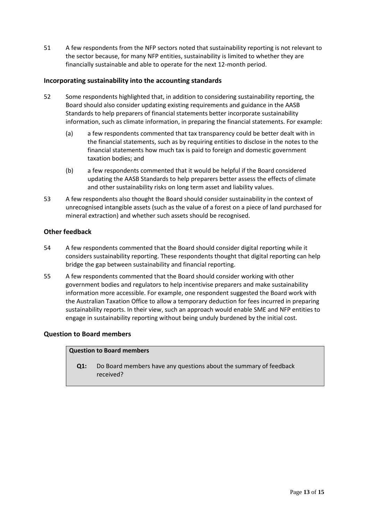51 A few respondents from the NFP sectors noted that sustainability reporting is not relevant to the sector because, for many NFP entities, sustainability is limited to whether they are financially sustainable and able to operate for the next 12-month period.

#### **Incorporating sustainability into the accounting standards**

- 52 Some respondents highlighted that, in addition to considering sustainability reporting, the Board should also consider updating existing requirements and guidance in the AASB Standards to help preparers of financial statements better incorporate sustainability information, such as climate information, in preparing the financial statements. For example:
	- (a) a few respondents commented that tax transparency could be better dealt with in the financial statements, such as by requiring entities to disclose in the notes to the financial statements how much tax is paid to foreign and domestic government taxation bodies; and
	- (b) a few respondents commented that it would be helpful if the Board considered updating the AASB Standards to help preparers better assess the effects of climate and other sustainability risks on long term asset and liability values.
- 53 A few respondents also thought the Board should consider sustainability in the context of unrecognised intangible assets (such as the value of a forest on a piece of land purchased for mineral extraction) and whether such assets should be recognised.

#### **Other feedback**

- 54 A few respondents commented that the Board should consider digital reporting while it considers sustainability reporting. These respondents thought that digital reporting can help bridge the gap between sustainability and financial reporting.
- 55 A few respondents commented that the Board should consider working with other government bodies and regulators to help incentivise preparers and make sustainability information more accessible. For example, one respondent suggested the Board work with the Australian Taxation Office to allow a temporary deduction for fees incurred in preparing sustainability reports. In their view, such an approach would enable SME and NFP entities to engage in sustainability reporting without being unduly burdened by the initial cost.

#### **Question to Board members**

#### **Question to Board members**

**Q1:** Do Board members have any questions about the summary of feedback received?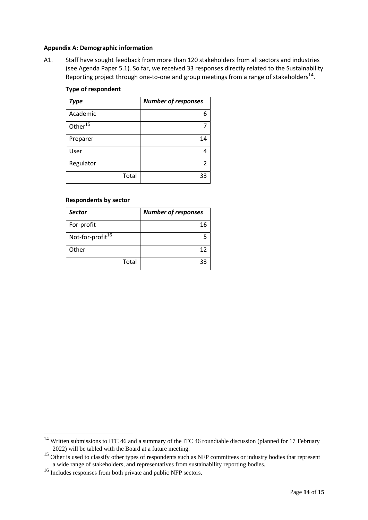#### **Appendix A: Demographic information**

A1. Staff have sought feedback from more than 120 stakeholders from all sectors and industries (see Agenda Paper 5.1). So far, we received 33 responses directly related to the Sustainability Reporting project through one-to-one and group meetings from a range of stakeholders $^{14}$ .

#### **Type of respondent**

| Type                | <b>Number of responses</b> |
|---------------------|----------------------------|
| Academic            | 6                          |
| Other <sup>15</sup> |                            |
| Preparer            | 14                         |
| User                |                            |
| Regulator           | 2                          |
| Total               | 33                         |

#### **Respondents by sector**

| <b>Sector</b>                | <b>Number of responses</b> |  |
|------------------------------|----------------------------|--|
| For-profit                   | 16                         |  |
| Not-for-profit <sup>16</sup> |                            |  |
| Other                        | 12                         |  |
| Total                        | 33                         |  |

<sup>&</sup>lt;sup>14</sup> Written submissions to ITC 46 and a summary of the ITC 46 roundtable discussion (planned for 17 February 2022) will be tabled with the Board at a future meeting.

<sup>&</sup>lt;sup>15</sup> Other is used to classify other types of respondents such as NFP committees or industry bodies that represent a wide range of stakeholders, and representatives from sustainability reporting bodies.

<sup>16</sup> Includes responses from both private and public NFP sectors.